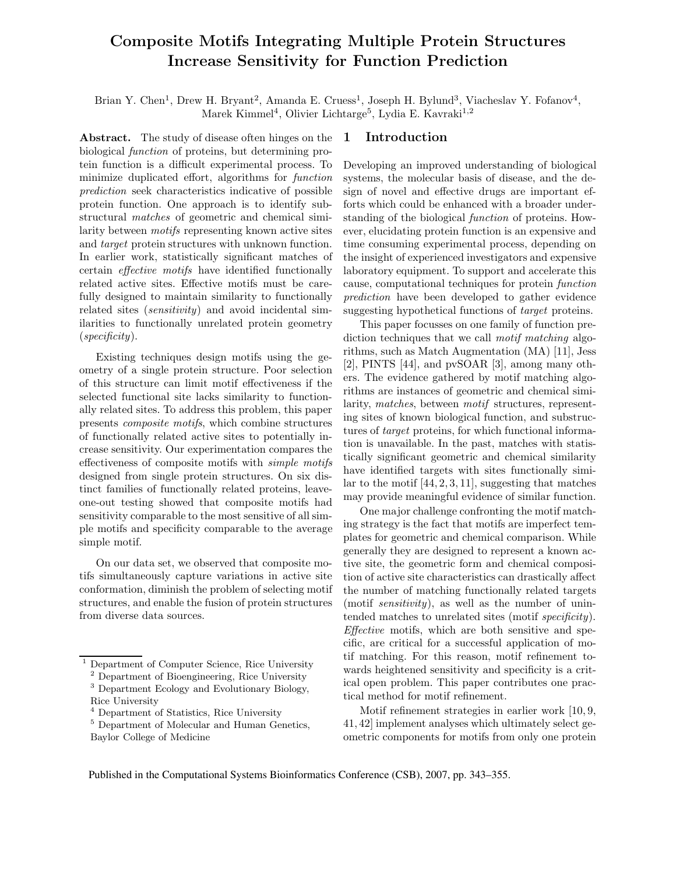# Composite Motifs Integrating Multiple Protein Structures Increase Sensitivity for Function Prediction

Brian Y. Chen<sup>1</sup>, Drew H. Bryant<sup>2</sup>, Amanda E. Cruess<sup>1</sup>, Joseph H. Bylund<sup>3</sup>, Viacheslav Y. Fofanov<sup>4</sup>, Marek Kimmel<sup>4</sup>, Olivier Lichtarge<sup>5</sup>, Lydia E. Kavraki<sup>1,2</sup>

Abstract. The study of disease often hinges on the biological function of proteins, but determining protein function is a difficult experimental process. To minimize duplicated effort, algorithms for function prediction seek characteristics indicative of possible protein function. One approach is to identify substructural matches of geometric and chemical similarity between motifs representing known active sites and target protein structures with unknown function. In earlier work, statistically significant matches of certain effective motifs have identified functionally related active sites. Effective motifs must be carefully designed to maintain similarity to functionally related sites (sensitivity) and avoid incidental similarities to functionally unrelated protein geometry  $(specificity)$ .

Existing techniques design motifs using the geometry of a single protein structure. Poor selection of this structure can limit motif effectiveness if the selected functional site lacks similarity to functionally related sites. To address this problem, this paper presents composite motifs, which combine structures of functionally related active sites to potentially increase sensitivity. Our experimentation compares the effectiveness of composite motifs with simple motifs designed from single protein structures. On six distinct families of functionally related proteins, leaveone-out testing showed that composite motifs had sensitivity comparable to the most sensitive of all simple motifs and specificity comparable to the average simple motif.

On our data set, we observed that composite motifs simultaneously capture variations in active site conformation, diminish the problem of selecting motif structures, and enable the fusion of protein structures from diverse data sources.

# 1 Introduction

Developing an improved understanding of biological systems, the molecular basis of disease, and the design of novel and effective drugs are important efforts which could be enhanced with a broader understanding of the biological function of proteins. However, elucidating protein function is an expensive and time consuming experimental process, depending on the insight of experienced investigators and expensive laboratory equipment. To support and accelerate this cause, computational techniques for protein function prediction have been developed to gather evidence suggesting hypothetical functions of target proteins.

This paper focusses on one family of function prediction techniques that we call *motif matching* algorithms, such as Match Augmentation (MA) [11], Jess [2], PINTS [44], and pvSOAR [3], among many others. The evidence gathered by motif matching algorithms are instances of geometric and chemical similarity, matches, between motif structures, representing sites of known biological function, and substructures of target proteins, for which functional information is unavailable. In the past, matches with statistically significant geometric and chemical similarity have identified targets with sites functionally similar to the motif  $[44, 2, 3, 11]$ , suggesting that matches may provide meaningful evidence of similar function.

One major challenge confronting the motif matching strategy is the fact that motifs are imperfect templates for geometric and chemical comparison. While generally they are designed to represent a known active site, the geometric form and chemical composition of active site characteristics can drastically affect the number of matching functionally related targets (motif *sensitivity*), as well as the number of unintended matches to unrelated sites (motif specificity). Effective motifs, which are both sensitive and specific, are critical for a successful application of motif matching. For this reason, motif refinement towards heightened sensitivity and specificity is a critical open problem. This paper contributes one practical method for motif refinement.

Motif refinement strategies in earlier work [10, 9, 41, 42] implement analyses which ultimately select geometric components for motifs from only one protein

Published in the Computational Systems Bioinformatics Conference (CSB), 2007, pp. 343–355.

<sup>&</sup>lt;sup>1</sup> Department of Computer Science, Rice University

<sup>2</sup> Department of Bioengineering, Rice University

<sup>3</sup> Department Ecology and Evolutionary Biology,

Rice University

<sup>4</sup> Department of Statistics, Rice University

<sup>5</sup> Department of Molecular and Human Genetics, Baylor College of Medicine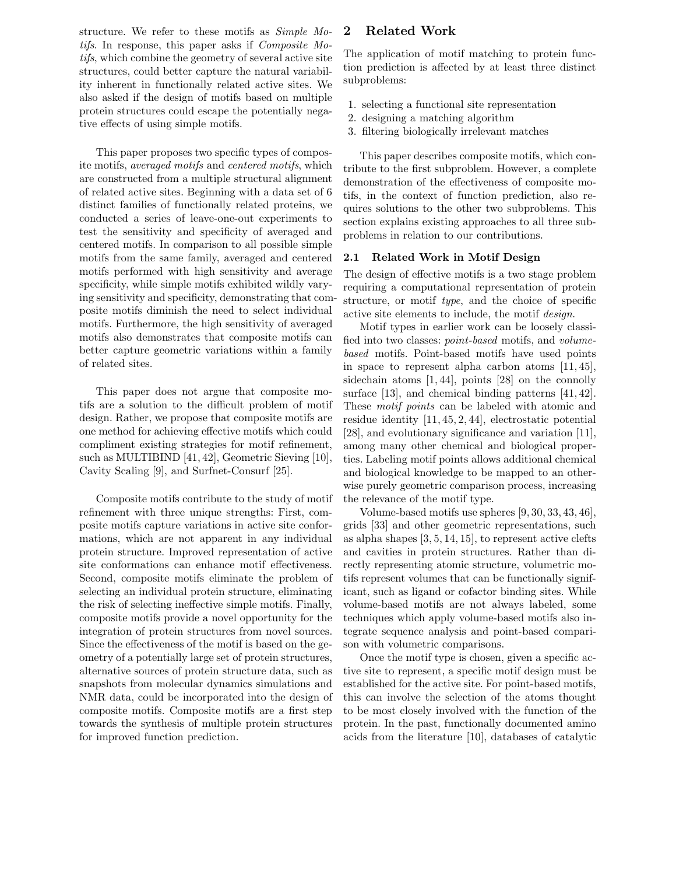structure. We refer to these motifs as Simple Motifs. In response, this paper asks if Composite Motifs, which combine the geometry of several active site structures, could better capture the natural variability inherent in functionally related active sites. We also asked if the design of motifs based on multiple protein structures could escape the potentially negative effects of using simple motifs.

This paper proposes two specific types of composite motifs, averaged motifs and centered motifs, which are constructed from a multiple structural alignment of related active sites. Beginning with a data set of 6 distinct families of functionally related proteins, we conducted a series of leave-one-out experiments to test the sensitivity and specificity of averaged and centered motifs. In comparison to all possible simple motifs from the same family, averaged and centered motifs performed with high sensitivity and average specificity, while simple motifs exhibited wildly varying sensitivity and specificity, demonstrating that composite motifs diminish the need to select individual motifs. Furthermore, the high sensitivity of averaged motifs also demonstrates that composite motifs can better capture geometric variations within a family of related sites.

This paper does not argue that composite motifs are a solution to the difficult problem of motif design. Rather, we propose that composite motifs are one method for achieving effective motifs which could compliment existing strategies for motif refinement, such as MULTIBIND [41, 42], Geometric Sieving [10], Cavity Scaling [9], and Surfnet-Consurf [25].

Composite motifs contribute to the study of motif refinement with three unique strengths: First, composite motifs capture variations in active site conformations, which are not apparent in any individual protein structure. Improved representation of active site conformations can enhance motif effectiveness. Second, composite motifs eliminate the problem of selecting an individual protein structure, eliminating the risk of selecting ineffective simple motifs. Finally, composite motifs provide a novel opportunity for the integration of protein structures from novel sources. Since the effectiveness of the motif is based on the geometry of a potentially large set of protein structures, alternative sources of protein structure data, such as snapshots from molecular dynamics simulations and NMR data, could be incorporated into the design of composite motifs. Composite motifs are a first step towards the synthesis of multiple protein structures for improved function prediction.

# 2 Related Work

The application of motif matching to protein function prediction is affected by at least three distinct subproblems:

- 1. selecting a functional site representation
- 2. designing a matching algorithm
- 3. filtering biologically irrelevant matches

This paper describes composite motifs, which contribute to the first subproblem. However, a complete demonstration of the effectiveness of composite motifs, in the context of function prediction, also requires solutions to the other two subproblems. This section explains existing approaches to all three subproblems in relation to our contributions.

#### 2.1 Related Work in Motif Design

The design of effective motifs is a two stage problem requiring a computational representation of protein structure, or motif type, and the choice of specific active site elements to include, the motif design.

Motif types in earlier work can be loosely classified into two classes: point-based motifs, and volumebased motifs. Point-based motifs have used points in space to represent alpha carbon atoms [11, 45], sidechain atoms [1, 44], points [28] on the connolly surface [13], and chemical binding patterns [41, 42]. These motif points can be labeled with atomic and residue identity [11, 45, 2, 44], electrostatic potential [28], and evolutionary significance and variation [11], among many other chemical and biological properties. Labeling motif points allows additional chemical and biological knowledge to be mapped to an otherwise purely geometric comparison process, increasing the relevance of the motif type.

Volume-based motifs use spheres [9, 30, 33, 43, 46], grids [33] and other geometric representations, such as alpha shapes [3, 5, 14, 15], to represent active clefts and cavities in protein structures. Rather than directly representing atomic structure, volumetric motifs represent volumes that can be functionally significant, such as ligand or cofactor binding sites. While volume-based motifs are not always labeled, some techniques which apply volume-based motifs also integrate sequence analysis and point-based comparison with volumetric comparisons.

Once the motif type is chosen, given a specific active site to represent, a specific motif design must be established for the active site. For point-based motifs, this can involve the selection of the atoms thought to be most closely involved with the function of the protein. In the past, functionally documented amino acids from the literature [10], databases of catalytic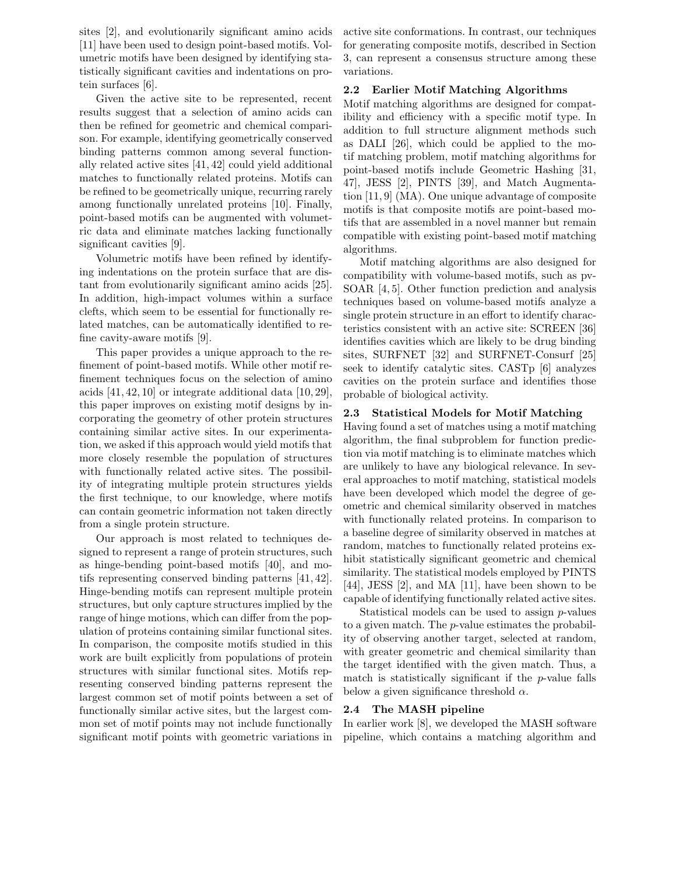sites [2], and evolutionarily significant amino acids [11] have been used to design point-based motifs. Volumetric motifs have been designed by identifying statistically significant cavities and indentations on protein surfaces [6].

Given the active site to be represented, recent results suggest that a selection of amino acids can then be refined for geometric and chemical comparison. For example, identifying geometrically conserved binding patterns common among several functionally related active sites [41, 42] could yield additional matches to functionally related proteins. Motifs can be refined to be geometrically unique, recurring rarely among functionally unrelated proteins [10]. Finally, point-based motifs can be augmented with volumetric data and eliminate matches lacking functionally significant cavities [9].

Volumetric motifs have been refined by identifying indentations on the protein surface that are distant from evolutionarily significant amino acids [25]. In addition, high-impact volumes within a surface clefts, which seem to be essential for functionally related matches, can be automatically identified to refine cavity-aware motifs [9].

This paper provides a unique approach to the refinement of point-based motifs. While other motif refinement techniques focus on the selection of amino acids [41, 42, 10] or integrate additional data [10, 29], this paper improves on existing motif designs by incorporating the geometry of other protein structures containing similar active sites. In our experimentation, we asked if this approach would yield motifs that more closely resemble the population of structures with functionally related active sites. The possibility of integrating multiple protein structures yields the first technique, to our knowledge, where motifs can contain geometric information not taken directly from a single protein structure.

Our approach is most related to techniques designed to represent a range of protein structures, such as hinge-bending point-based motifs [40], and motifs representing conserved binding patterns [41, 42]. Hinge-bending motifs can represent multiple protein structures, but only capture structures implied by the range of hinge motions, which can differ from the population of proteins containing similar functional sites. In comparison, the composite motifs studied in this work are built explicitly from populations of protein structures with similar functional sites. Motifs representing conserved binding patterns represent the largest common set of motif points between a set of functionally similar active sites, but the largest common set of motif points may not include functionally significant motif points with geometric variations in

active site conformations. In contrast, our techniques for generating composite motifs, described in Section 3, can represent a consensus structure among these variations.

### 2.2 Earlier Motif Matching Algorithms

Motif matching algorithms are designed for compatibility and efficiency with a specific motif type. In addition to full structure alignment methods such as DALI [26], which could be applied to the motif matching problem, motif matching algorithms for point-based motifs include Geometric Hashing [31, 47], JESS [2], PINTS [39], and Match Augmentation [11, 9] (MA). One unique advantage of composite motifs is that composite motifs are point-based motifs that are assembled in a novel manner but remain compatible with existing point-based motif matching algorithms.

Motif matching algorithms are also designed for compatibility with volume-based motifs, such as pv-SOAR [4, 5]. Other function prediction and analysis techniques based on volume-based motifs analyze a single protein structure in an effort to identify characteristics consistent with an active site: SCREEN [36] identifies cavities which are likely to be drug binding sites, SURFNET [32] and SURFNET-Consurf [25] seek to identify catalytic sites. CASTp [6] analyzes cavities on the protein surface and identifies those probable of biological activity.

### 2.3 Statistical Models for Motif Matching

Having found a set of matches using a motif matching algorithm, the final subproblem for function prediction via motif matching is to eliminate matches which are unlikely to have any biological relevance. In several approaches to motif matching, statistical models have been developed which model the degree of geometric and chemical similarity observed in matches with functionally related proteins. In comparison to a baseline degree of similarity observed in matches at random, matches to functionally related proteins exhibit statistically significant geometric and chemical similarity. The statistical models employed by PINTS [44], JESS [2], and MA [11], have been shown to be capable of identifying functionally related active sites.

Statistical models can be used to assign p-values to a given match. The p-value estimates the probability of observing another target, selected at random, with greater geometric and chemical similarity than the target identified with the given match. Thus, a match is statistically significant if the  $p$ -value falls below a given significance threshold  $\alpha$ .

# 2.4 The MASH pipeline

In earlier work [8], we developed the MASH software pipeline, which contains a matching algorithm and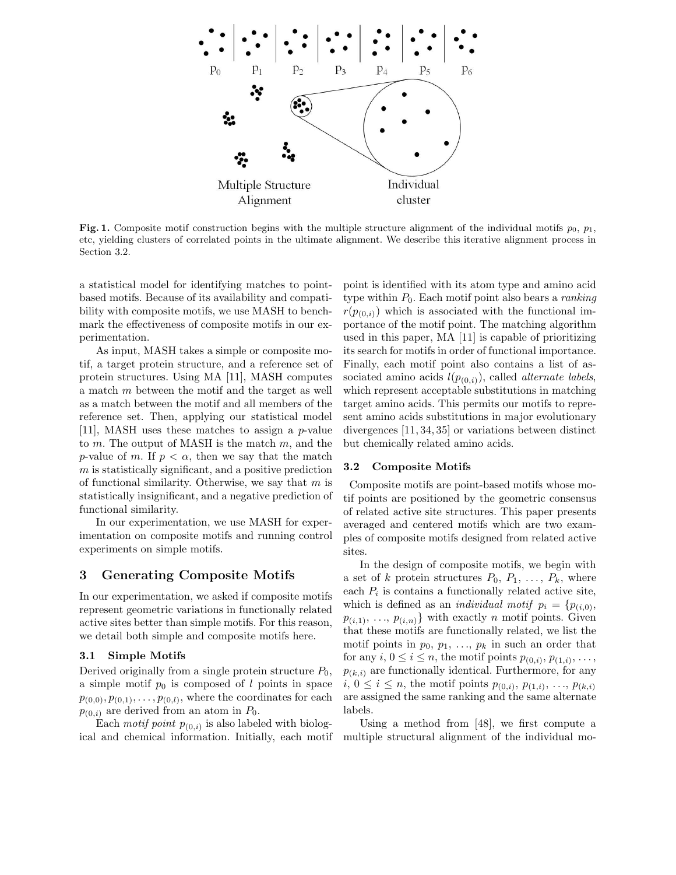

Fig. 1. Composite motif construction begins with the multiple structure alignment of the individual motifs  $p_0$ ,  $p_1$ , etc, yielding clusters of correlated points in the ultimate alignment. We describe this iterative alignment process in Section 3.2.

a statistical model for identifying matches to pointbased motifs. Because of its availability and compatibility with composite motifs, we use MASH to benchmark the effectiveness of composite motifs in our experimentation.

As input, MASH takes a simple or composite motif, a target protein structure, and a reference set of protein structures. Using MA [11], MASH computes a match m between the motif and the target as well as a match between the motif and all members of the reference set. Then, applying our statistical model [11], MASH uses these matches to assign a p-value to  $m$ . The output of MASH is the match  $m$ , and the p-value of m. If  $p < \alpha$ , then we say that the match  $m$  is statistically significant, and a positive prediction of functional similarity. Otherwise, we say that  $m$  is statistically insignificant, and a negative prediction of functional similarity.

In our experimentation, we use MASH for experimentation on composite motifs and running control experiments on simple motifs.

# 3 Generating Composite Motifs

In our experimentation, we asked if composite motifs represent geometric variations in functionally related active sites better than simple motifs. For this reason, we detail both simple and composite motifs here.

#### 3.1 Simple Motifs

Derived originally from a single protein structure  $P_0$ , a simple motif  $p_0$  is composed of l points in space  $p_{(0,0)}, p_{(0,1)}, \ldots, p_{(0,l)}$ , where the coordinates for each  $p_{(0,i)}$  are derived from an atom in  $P_0$ .

Each motif point  $p_{(0,i)}$  is also labeled with biological and chemical information. Initially, each motif

point is identified with its atom type and amino acid type within  $P_0$ . Each motif point also bears a *ranking*  $r(p_{(0,i)})$  which is associated with the functional importance of the motif point. The matching algorithm used in this paper, MA [11] is capable of prioritizing its search for motifs in order of functional importance. Finally, each motif point also contains a list of associated amino acids  $l(p_{(0,i)})$ , called *alternate labels*, which represent acceptable substitutions in matching target amino acids. This permits our motifs to represent amino acids substitutions in major evolutionary divergences [11, 34, 35] or variations between distinct but chemically related amino acids.

#### 3.2 Composite Motifs

Composite motifs are point-based motifs whose motif points are positioned by the geometric consensus of related active site structures. This paper presents averaged and centered motifs which are two examples of composite motifs designed from related active sites.

In the design of composite motifs, we begin with a set of k protein structures  $P_0, P_1, \ldots, P_k$ , where each  $P_i$  is contains a functionally related active site, which is defined as an *individual motif*  $p_i = \{p_{(i,0)},\}$  $p_{(i,1)}, \ldots, p_{(i,n)}\}$  with exactly n motif points. Given that these motifs are functionally related, we list the motif points in  $p_0, p_1, \ldots, p_k$  in such an order that for any  $i, 0 \leq i \leq n$ , the motif points  $p_{(0,i)}, p_{(1,i)}, \ldots$ ,  $p_{(k,i)}$  are functionally identical. Furthermore, for any  $i, 0 \leq i \leq n$ , the motif points  $p_{(0,i)}, p_{(1,i)}, \ldots, p_{(k,i)}$ are assigned the same ranking and the same alternate labels.

Using a method from [48], we first compute a multiple structural alignment of the individual mo-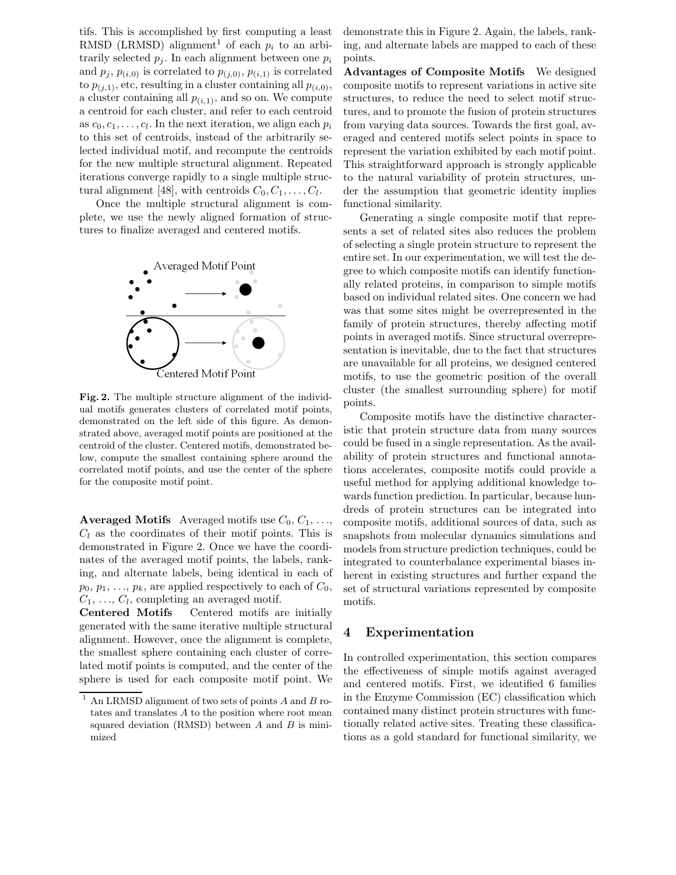tifs. This is accomplished by first computing a least RMSD (LRMSD) alignment<sup>1</sup> of each  $p_i$  to an arbitrarily selected  $p_i$ . In each alignment between one  $p_i$ and  $p_j, p_{(i,0)}$  is correlated to  $p_{(j,0)}, p_{(i,1)}$  is correlated to  $p_{(i,1)}$ , etc, resulting in a cluster containing all  $p_{(i,0)}$ , a cluster containing all  $p_{(i,1)}$ , and so on. We compute a centroid for each cluster, and refer to each centroid as  $c_0, c_1, \ldots, c_l$ . In the next iteration, we align each  $p_i$ to this set of centroids, instead of the arbitrarily selected individual motif, and recompute the centroids for the new multiple structural alignment. Repeated iterations converge rapidly to a single multiple structural alignment [48], with centroids  $C_0, C_1, \ldots, C_l$ .

Once the multiple structural alignment is complete, we use the newly aligned formation of structures to finalize averaged and centered motifs.



Fig. 2. The multiple structure alignment of the individual motifs generates clusters of correlated motif points, demonstrated on the left side of this figure. As demonstrated above, averaged motif points are positioned at the centroid of the cluster. Centered motifs, demonstrated below, compute the smallest containing sphere around the correlated motif points, and use the center of the sphere for the composite motif point.

**Averaged Motifs** Averaged motifs use  $C_0, C_1, \ldots$ ,  $C_l$  as the coordinates of their motif points. This is demonstrated in Figure 2. Once we have the coordinates of the averaged motif points, the labels, ranking, and alternate labels, being identical in each of  $p_0, p_1, \ldots, p_k$ , are applied respectively to each of  $C_0$ ,  $C_1, \ldots, C_l$ , completing an averaged motif.

Centered Motifs Centered motifs are initially generated with the same iterative multiple structural alignment. However, once the alignment is complete, the smallest sphere containing each cluster of correlated motif points is computed, and the center of the sphere is used for each composite motif point. We

demonstrate this in Figure 2. Again, the labels, ranking, and alternate labels are mapped to each of these points.

Advantages of Composite Motifs We designed composite motifs to represent variations in active site structures, to reduce the need to select motif structures, and to promote the fusion of protein structures from varying data sources. Towards the first goal, averaged and centered motifs select points in space to represent the variation exhibited by each motif point. This straightforward approach is strongly applicable to the natural variability of protein structures, under the assumption that geometric identity implies functional similarity.

Generating a single composite motif that represents a set of related sites also reduces the problem of selecting a single protein structure to represent the entire set. In our experimentation, we will test the degree to which composite motifs can identify functionally related proteins, in comparison to simple motifs based on individual related sites. One concern we had was that some sites might be overrepresented in the family of protein structures, thereby affecting motif points in averaged motifs. Since structural overrepresentation is inevitable, due to the fact that structures are unavailable for all proteins, we designed centered motifs, to use the geometric position of the overall cluster (the smallest surrounding sphere) for motif points.

Composite motifs have the distinctive characteristic that protein structure data from many sources could be fused in a single representation. As the availability of protein structures and functional annotations accelerates, composite motifs could provide a useful method for applying additional knowledge towards function prediction. In particular, because hundreds of protein structures can be integrated into composite motifs, additional sources of data, such as snapshots from molecular dynamics simulations and models from structure prediction techniques, could be integrated to counterbalance experimental biases inherent in existing structures and further expand the set of structural variations represented by composite motifs.

# 4 Experimentation

In controlled experimentation, this section compares the effectiveness of simple motifs against averaged and centered motifs. First, we identified 6 families in the Enzyme Commission (EC) classification which contained many distinct protein structures with functionally related active sites. Treating these classifications as a gold standard for functional similarity, we

<sup>&</sup>lt;sup>1</sup> An LRMSD alignment of two sets of points A and B rotates and translates A to the position where root mean squared deviation (RMSD) between  $A$  and  $B$  is minimized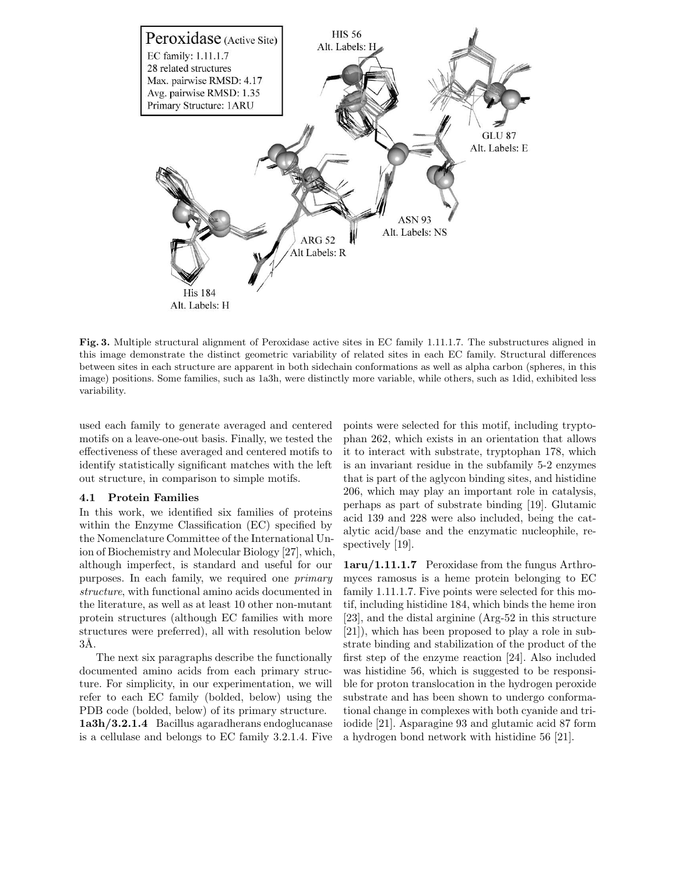

Fig. 3. Multiple structural alignment of Peroxidase active sites in EC family 1.11.1.7. The substructures aligned in this image demonstrate the distinct geometric variability of related sites in each EC family. Structural differences between sites in each structure are apparent in both sidechain conformations as well as alpha carbon (spheres, in this image) positions. Some families, such as 1a3h, were distinctly more variable, while others, such as 1did, exhibited less variability.

used each family to generate averaged and centered motifs on a leave-one-out basis. Finally, we tested the effectiveness of these averaged and centered motifs to identify statistically significant matches with the left out structure, in comparison to simple motifs.

#### 4.1 Protein Families

In this work, we identified six families of proteins within the Enzyme Classification (EC) specified by the Nomenclature Committee of the International Union of Biochemistry and Molecular Biology [27], which, although imperfect, is standard and useful for our purposes. In each family, we required one primary structure, with functional amino acids documented in the literature, as well as at least 10 other non-mutant protein structures (although EC families with more structures were preferred), all with resolution below 3Å.

The next six paragraphs describe the functionally documented amino acids from each primary structure. For simplicity, in our experimentation, we will refer to each EC family (bolded, below) using the PDB code (bolded, below) of its primary structure.

1a3h/3.2.1.4 Bacillus agaradherans endoglucanase is a cellulase and belongs to EC family 3.2.1.4. Five

points were selected for this motif, including tryptophan 262, which exists in an orientation that allows it to interact with substrate, tryptophan 178, which is an invariant residue in the subfamily 5-2 enzymes that is part of the aglycon binding sites, and histidine 206, which may play an important role in catalysis, perhaps as part of substrate binding [19]. Glutamic acid 139 and 228 were also included, being the catalytic acid/base and the enzymatic nucleophile, respectively [19].

1aru/1.11.1.7 Peroxidase from the fungus Arthromyces ramosus is a heme protein belonging to EC family 1.11.1.7. Five points were selected for this motif, including histidine 184, which binds the heme iron [23], and the distal arginine (Arg-52 in this structure [21]), which has been proposed to play a role in substrate binding and stabilization of the product of the first step of the enzyme reaction [24]. Also included was histidine 56, which is suggested to be responsible for proton translocation in the hydrogen peroxide substrate and has been shown to undergo conformational change in complexes with both cyanide and triiodide [21]. Asparagine 93 and glutamic acid 87 form a hydrogen bond network with histidine 56 [21].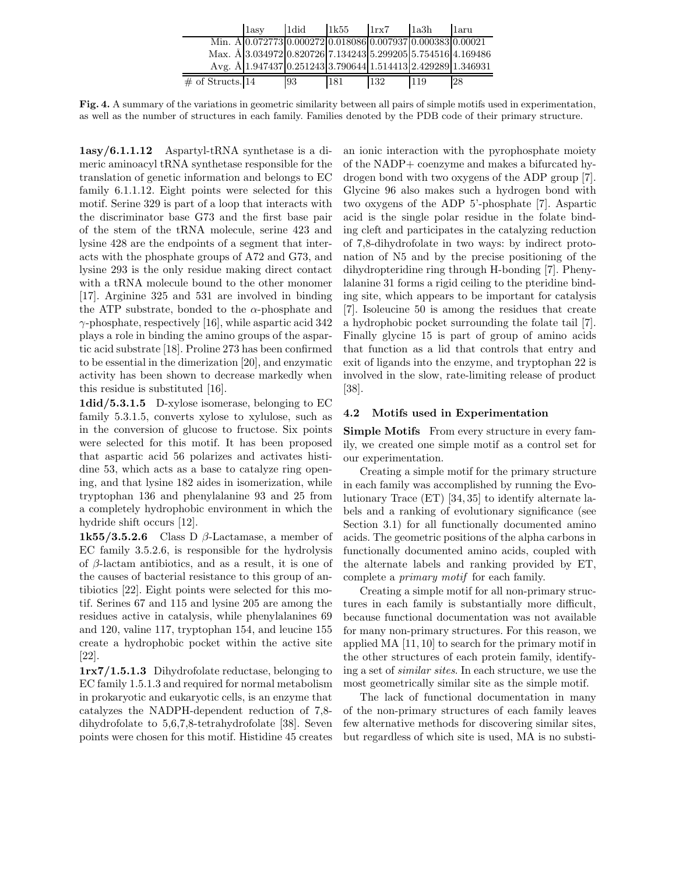|                     | 1 <sub>asv</sub> | 1did | 1k55 | 1rx7       | 1a3h                                                         | 11 aru |
|---------------------|------------------|------|------|------------|--------------------------------------------------------------|--------|
|                     |                  |      |      |            | Min. Å 0.072773 0.000272 0.018086 0.007937 0.000383 0.00021  |        |
|                     |                  |      |      |            | Max. A 3.034972 0.820726 7.134243 5.299205 5.754516 4.169486 |        |
|                     |                  |      |      |            | Avg. Å 1.947437 0.251243 3.790644 1.514413 2.429289 1.346931 |        |
| $\#$ of Structs. 14 |                  | 93   | 181  | <b>132</b> | 119                                                          | 28     |

Fig. 4. A summary of the variations in geometric similarity between all pairs of simple motifs used in experimentation, as well as the number of structures in each family. Families denoted by the PDB code of their primary structure.

1asy/6.1.1.12 Aspartyl-tRNA synthetase is a dimeric aminoacyl tRNA synthetase responsible for the translation of genetic information and belongs to EC family 6.1.1.12. Eight points were selected for this motif. Serine 329 is part of a loop that interacts with the discriminator base G73 and the first base pair of the stem of the tRNA molecule, serine 423 and lysine 428 are the endpoints of a segment that interacts with the phosphate groups of A72 and G73, and lysine 293 is the only residue making direct contact with a tRNA molecule bound to the other monomer [17]. Arginine 325 and 531 are involved in binding the ATP substrate, bonded to the  $\alpha$ -phosphate and  $\gamma$ -phosphate, respectively [16], while aspartic acid 342 plays a role in binding the amino groups of the aspartic acid substrate [18]. Proline 273 has been confirmed to be essential in the dimerization [20], and enzymatic activity has been shown to decrease markedly when this residue is substituted [16].

1did/5.3.1.5 D-xylose isomerase, belonging to EC family 5.3.1.5, converts xylose to xylulose, such as in the conversion of glucose to fructose. Six points were selected for this motif. It has been proposed that aspartic acid 56 polarizes and activates histidine 53, which acts as a base to catalyze ring opening, and that lysine 182 aides in isomerization, while tryptophan 136 and phenylalanine 93 and 25 from a completely hydrophobic environment in which the hydride shift occurs [12].

1k55/3.5.2.6 Class D  $\beta$ -Lactamase, a member of EC family 3.5.2.6, is responsible for the hydrolysis of  $\beta$ -lactam antibiotics, and as a result, it is one of the causes of bacterial resistance to this group of antibiotics [22]. Eight points were selected for this motif. Serines 67 and 115 and lysine 205 are among the residues active in catalysis, while phenylalanines 69 and 120, valine 117, tryptophan 154, and leucine 155 create a hydrophobic pocket within the active site [22].

1rx7/1.5.1.3 Dihydrofolate reductase, belonging to EC family 1.5.1.3 and required for normal metabolism in prokaryotic and eukaryotic cells, is an enzyme that catalyzes the NADPH-dependent reduction of 7,8 dihydrofolate to 5,6,7,8-tetrahydrofolate [38]. Seven points were chosen for this motif. Histidine 45 creates

an ionic interaction with the pyrophosphate moiety of the NADP+ coenzyme and makes a bifurcated hydrogen bond with two oxygens of the ADP group [7]. Glycine 96 also makes such a hydrogen bond with two oxygens of the ADP 5'-phosphate [7]. Aspartic acid is the single polar residue in the folate binding cleft and participates in the catalyzing reduction of 7,8-dihydrofolate in two ways: by indirect protonation of N5 and by the precise positioning of the dihydropteridine ring through H-bonding [7]. Phenylalanine 31 forms a rigid ceiling to the pteridine binding site, which appears to be important for catalysis [7]. Isoleucine 50 is among the residues that create a hydrophobic pocket surrounding the folate tail [7]. Finally glycine 15 is part of group of amino acids that function as a lid that controls that entry and exit of ligands into the enzyme, and tryptophan 22 is involved in the slow, rate-limiting release of product [38].

### 4.2 Motifs used in Experimentation

Simple Motifs From every structure in every family, we created one simple motif as a control set for our experimentation.

Creating a simple motif for the primary structure in each family was accomplished by running the Evolutionary Trace (ET) [34, 35] to identify alternate labels and a ranking of evolutionary significance (see Section 3.1) for all functionally documented amino acids. The geometric positions of the alpha carbons in functionally documented amino acids, coupled with the alternate labels and ranking provided by ET, complete a primary motif for each family.

Creating a simple motif for all non-primary structures in each family is substantially more difficult, because functional documentation was not available for many non-primary structures. For this reason, we applied MA [11, 10] to search for the primary motif in the other structures of each protein family, identifying a set of similar sites. In each structure, we use the most geometrically similar site as the simple motif.

The lack of functional documentation in many of the non-primary structures of each family leaves few alternative methods for discovering similar sites, but regardless of which site is used, MA is no substi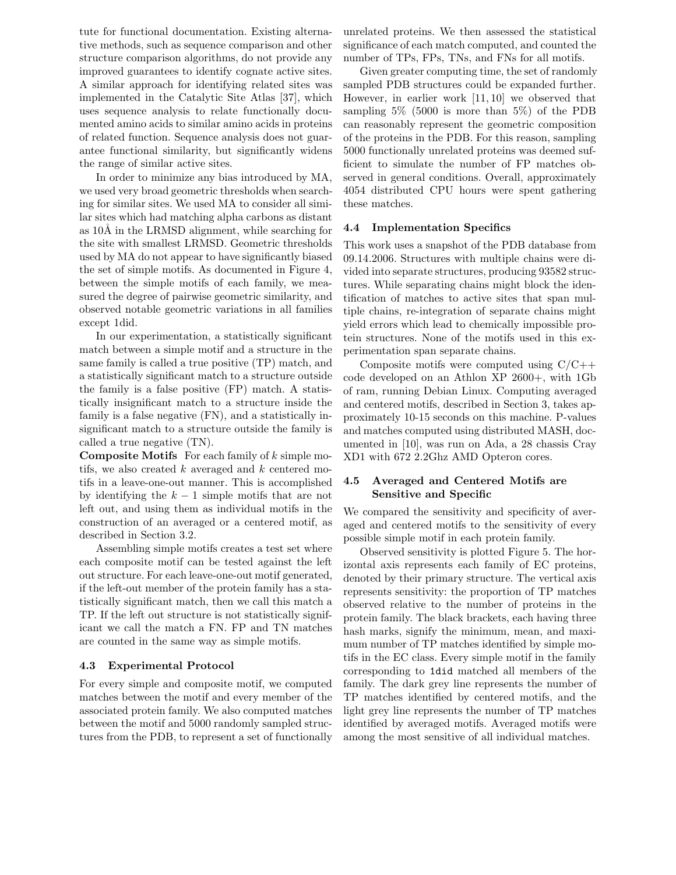tute for functional documentation. Existing alternative methods, such as sequence comparison and other structure comparison algorithms, do not provide any improved guarantees to identify cognate active sites. A similar approach for identifying related sites was implemented in the Catalytic Site Atlas [37], which uses sequence analysis to relate functionally documented amino acids to similar amino acids in proteins of related function. Sequence analysis does not guarantee functional similarity, but significantly widens the range of similar active sites.

In order to minimize any bias introduced by MA, we used very broad geometric thresholds when searching for similar sites. We used MA to consider all similar sites which had matching alpha carbons as distant as  $10\text{\AA}$  in the LRMSD alignment, while searching for the site with smallest LRMSD. Geometric thresholds used by MA do not appear to have significantly biased the set of simple motifs. As documented in Figure 4, between the simple motifs of each family, we measured the degree of pairwise geometric similarity, and observed notable geometric variations in all families except 1did.

In our experimentation, a statistically significant match between a simple motif and a structure in the same family is called a true positive (TP) match, and a statistically significant match to a structure outside the family is a false positive (FP) match. A statistically insignificant match to a structure inside the family is a false negative (FN), and a statistically insignificant match to a structure outside the family is called a true negative (TN).

**Composite Motifs** For each family of  $k$  simple motifs, we also created  $k$  averaged and  $k$  centered motifs in a leave-one-out manner. This is accomplished by identifying the  $k - 1$  simple motifs that are not left out, and using them as individual motifs in the construction of an averaged or a centered motif, as described in Section 3.2.

Assembling simple motifs creates a test set where each composite motif can be tested against the left out structure. For each leave-one-out motif generated, if the left-out member of the protein family has a statistically significant match, then we call this match a TP. If the left out structure is not statistically significant we call the match a FN. FP and TN matches are counted in the same way as simple motifs.

### 4.3 Experimental Protocol

For every simple and composite motif, we computed matches between the motif and every member of the associated protein family. We also computed matches between the motif and 5000 randomly sampled structures from the PDB, to represent a set of functionally

unrelated proteins. We then assessed the statistical significance of each match computed, and counted the number of TPs, FPs, TNs, and FNs for all motifs.

Given greater computing time, the set of randomly sampled PDB structures could be expanded further. However, in earlier work [11, 10] we observed that sampling 5% (5000 is more than 5%) of the PDB can reasonably represent the geometric composition of the proteins in the PDB. For this reason, sampling 5000 functionally unrelated proteins was deemed sufficient to simulate the number of FP matches observed in general conditions. Overall, approximately 4054 distributed CPU hours were spent gathering these matches.

# 4.4 Implementation Specifics

This work uses a snapshot of the PDB database from 09.14.2006. Structures with multiple chains were divided into separate structures, producing 93582 structures. While separating chains might block the identification of matches to active sites that span multiple chains, re-integration of separate chains might yield errors which lead to chemically impossible protein structures. None of the motifs used in this experimentation span separate chains.

Composite motifs were computed using  $C/C++$ code developed on an Athlon XP 2600+, with 1Gb of ram, running Debian Linux. Computing averaged and centered motifs, described in Section 3, takes approximately 10-15 seconds on this machine. P-values and matches computed using distributed MASH, documented in [10], was run on Ada, a 28 chassis Cray XD1 with 672 2.2Ghz AMD Opteron cores.

# 4.5 Averaged and Centered Motifs are Sensitive and Specific

We compared the sensitivity and specificity of averaged and centered motifs to the sensitivity of every possible simple motif in each protein family.

Observed sensitivity is plotted Figure 5. The horizontal axis represents each family of EC proteins, denoted by their primary structure. The vertical axis represents sensitivity: the proportion of TP matches observed relative to the number of proteins in the protein family. The black brackets, each having three hash marks, signify the minimum, mean, and maximum number of TP matches identified by simple motifs in the EC class. Every simple motif in the family corresponding to 1did matched all members of the family. The dark grey line represents the number of TP matches identified by centered motifs, and the light grey line represents the number of TP matches identified by averaged motifs. Averaged motifs were among the most sensitive of all individual matches.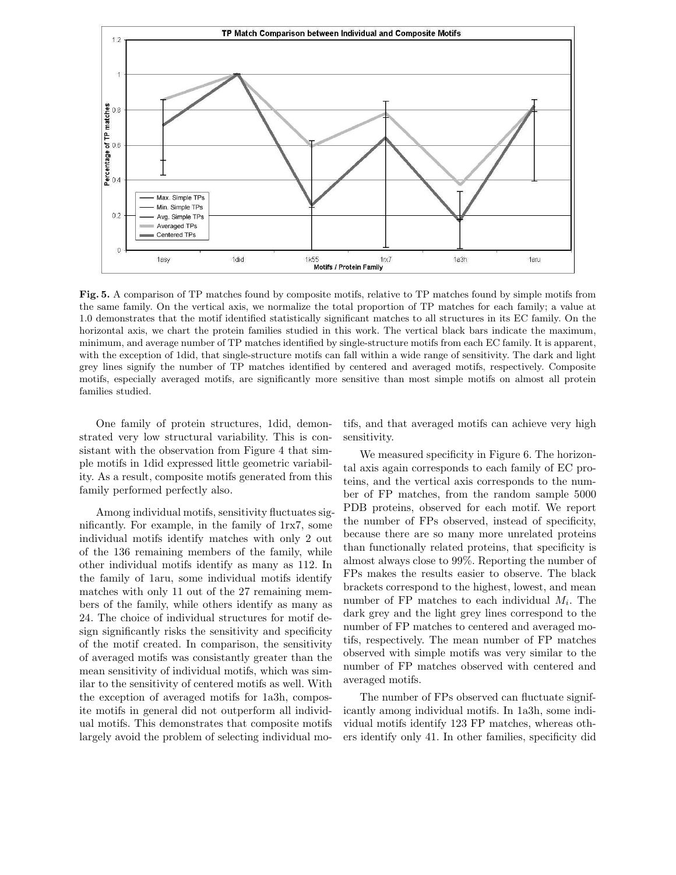

Fig. 5. A comparison of TP matches found by composite motifs, relative to TP matches found by simple motifs from the same family. On the vertical axis, we normalize the total proportion of TP matches for each family; a value at 1.0 demonstrates that the motif identified statistically significant matches to all structures in its EC family. On the horizontal axis, we chart the protein families studied in this work. The vertical black bars indicate the maximum, minimum, and average number of TP matches identified by single-structure motifs from each EC family. It is apparent, with the exception of 1did, that single-structure motifs can fall within a wide range of sensitivity. The dark and light grey lines signify the number of TP matches identified by centered and averaged motifs, respectively. Composite motifs, especially averaged motifs, are significantly more sensitive than most simple motifs on almost all protein families studied.

One family of protein structures, 1did, demonstrated very low structural variability. This is consistant with the observation from Figure 4 that simple motifs in 1did expressed little geometric variability. As a result, composite motifs generated from this family performed perfectly also.

Among individual motifs, sensitivity fluctuates significantly. For example, in the family of 1rx7, some individual motifs identify matches with only 2 out of the 136 remaining members of the family, while other individual motifs identify as many as 112. In the family of 1aru, some individual motifs identify matches with only 11 out of the 27 remaining members of the family, while others identify as many as 24. The choice of individual structures for motif design significantly risks the sensitivity and specificity of the motif created. In comparison, the sensitivity of averaged motifs was consistantly greater than the mean sensitivity of individual motifs, which was similar to the sensitivity of centered motifs as well. With the exception of averaged motifs for 1a3h, composite motifs in general did not outperform all individual motifs. This demonstrates that composite motifs largely avoid the problem of selecting individual mo-

tifs, and that averaged motifs can achieve very high sensitivity.

We measured specificity in Figure 6. The horizontal axis again corresponds to each family of EC proteins, and the vertical axis corresponds to the number of FP matches, from the random sample 5000 PDB proteins, observed for each motif. We report the number of FPs observed, instead of specificity, because there are so many more unrelated proteins than functionally related proteins, that specificity is almost always close to 99%. Reporting the number of FPs makes the results easier to observe. The black brackets correspond to the highest, lowest, and mean number of FP matches to each individual  $M_i$ . The dark grey and the light grey lines correspond to the number of FP matches to centered and averaged motifs, respectively. The mean number of FP matches observed with simple motifs was very similar to the number of FP matches observed with centered and averaged motifs.

The number of FPs observed can fluctuate significantly among individual motifs. In 1a3h, some individual motifs identify 123 FP matches, whereas others identify only 41. In other families, specificity did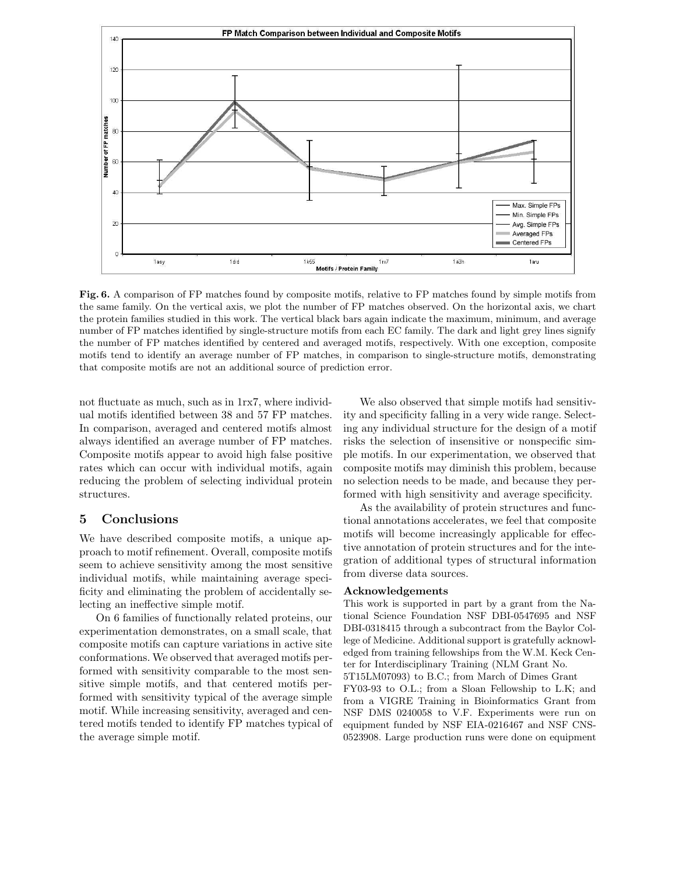

Fig. 6. A comparison of FP matches found by composite motifs, relative to FP matches found by simple motifs from the same family. On the vertical axis, we plot the number of FP matches observed. On the horizontal axis, we chart the protein families studied in this work. The vertical black bars again indicate the maximum, minimum, and average number of FP matches identified by single-structure motifs from each EC family. The dark and light grey lines signify the number of FP matches identified by centered and averaged motifs, respectively. With one exception, composite motifs tend to identify an average number of FP matches, in comparison to single-structure motifs, demonstrating that composite motifs are not an additional source of prediction error.

not fluctuate as much, such as in 1rx7, where individual motifs identified between 38 and 57 FP matches. In comparison, averaged and centered motifs almost always identified an average number of FP matches. Composite motifs appear to avoid high false positive rates which can occur with individual motifs, again reducing the problem of selecting individual protein structures.

# 5 Conclusions

We have described composite motifs, a unique approach to motif refinement. Overall, composite motifs seem to achieve sensitivity among the most sensitive individual motifs, while maintaining average specificity and eliminating the problem of accidentally selecting an ineffective simple motif.

On 6 families of functionally related proteins, our experimentation demonstrates, on a small scale, that composite motifs can capture variations in active site conformations. We observed that averaged motifs performed with sensitivity comparable to the most sensitive simple motifs, and that centered motifs performed with sensitivity typical of the average simple motif. While increasing sensitivity, averaged and centered motifs tended to identify FP matches typical of the average simple motif.

We also observed that simple motifs had sensitivity and specificity falling in a very wide range. Selecting any individual structure for the design of a motif risks the selection of insensitive or nonspecific simple motifs. In our experimentation, we observed that composite motifs may diminish this problem, because no selection needs to be made, and because they performed with high sensitivity and average specificity.

As the availability of protein structures and functional annotations accelerates, we feel that composite motifs will become increasingly applicable for effective annotation of protein structures and for the integration of additional types of structural information from diverse data sources.

#### Acknowledgements

This work is supported in part by a grant from the National Science Foundation NSF DBI-0547695 and NSF DBI-0318415 through a subcontract from the Baylor College of Medicine. Additional support is gratefully acknowledged from training fellowships from the W.M. Keck Center for Interdisciplinary Training (NLM Grant No. 5T15LM07093) to B.C.; from March of Dimes Grant

FY03-93 to O.L.; from a Sloan Fellowship to L.K; and from a VIGRE Training in Bioinformatics Grant from NSF DMS 0240058 to V.F. Experiments were run on equipment funded by NSF EIA-0216467 and NSF CNS-0523908. Large production runs were done on equipment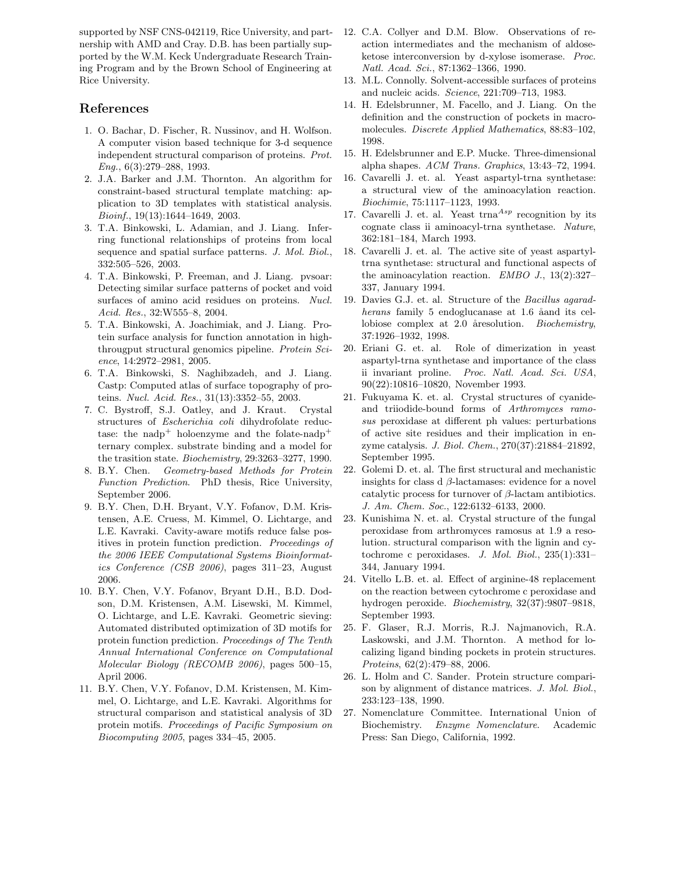supported by NSF CNS-042119, Rice University, and partnership with AMD and Cray. D.B. has been partially supported by the W.M. Keck Undergraduate Research Training Program and by the Brown School of Engineering at Rice University.

# References

- 1. O. Bachar, D. Fischer, R. Nussinov, and H. Wolfson. A computer vision based technique for 3-d sequence independent structural comparison of proteins. Prot. Eng., 6(3):279–288, 1993.
- 2. J.A. Barker and J.M. Thornton. An algorithm for constraint-based structural template matching: application to 3D templates with statistical analysis. Bioinf., 19(13):1644–1649, 2003.
- 3. T.A. Binkowski, L. Adamian, and J. Liang. Inferring functional relationships of proteins from local sequence and spatial surface patterns. J. Mol. Biol., 332:505–526, 2003.
- 4. T.A. Binkowski, P. Freeman, and J. Liang. pvsoar: Detecting similar surface patterns of pocket and void surfaces of amino acid residues on proteins. Nucl. Acid. Res., 32:W555–8, 2004.
- 5. T.A. Binkowski, A. Joachimiak, and J. Liang. Protein surface analysis for function annotation in highthrougput structural genomics pipeline. Protein Science, 14:2972–2981, 2005.
- 6. T.A. Binkowski, S. Naghibzadeh, and J. Liang. Castp: Computed atlas of surface topography of proteins. Nucl. Acid. Res., 31(13):3352–55, 2003.
- 7. C. Bystroff, S.J. Oatley, and J. Kraut. Crystal structures of Escherichia coli dihydrofolate reductase: the nadp<sup>+</sup> holoenzyme and the folate-nadp<sup>+</sup> ternary complex. substrate binding and a model for the trasition state. Biochemistry, 29:3263–3277, 1990.
- 8. B.Y. Chen. Geometry-based Methods for Protein Function Prediction. PhD thesis, Rice University, September 2006.
- 9. B.Y. Chen, D.H. Bryant, V.Y. Fofanov, D.M. Kristensen, A.E. Cruess, M. Kimmel, O. Lichtarge, and L.E. Kavraki. Cavity-aware motifs reduce false positives in protein function prediction. Proceedings of the 2006 IEEE Computational Systems Bioinformatics Conference (CSB 2006), pages 311–23, August 2006.
- 10. B.Y. Chen, V.Y. Fofanov, Bryant D.H., B.D. Dodson, D.M. Kristensen, A.M. Lisewski, M. Kimmel, O. Lichtarge, and L.E. Kavraki. Geometric sieving: Automated distributed optimization of 3D motifs for protein function prediction. Proceedings of The Tenth Annual International Conference on Computational Molecular Biology (RECOMB 2006), pages 500–15, April 2006.
- 11. B.Y. Chen, V.Y. Fofanov, D.M. Kristensen, M. Kimmel, O. Lichtarge, and L.E. Kavraki. Algorithms for structural comparison and statistical analysis of 3D protein motifs. Proceedings of Pacific Symposium on Biocomputing 2005, pages 334–45, 2005.
- 12. C.A. Collyer and D.M. Blow. Observations of reaction intermediates and the mechanism of aldoseketose interconversion by d-xylose isomerase. Proc. Natl. Acad. Sci., 87:1362–1366, 1990.
- 13. M.L. Connolly. Solvent-accessible surfaces of proteins and nucleic acids. Science, 221:709–713, 1983.
- 14. H. Edelsbrunner, M. Facello, and J. Liang. On the definition and the construction of pockets in macromolecules. Discrete Applied Mathematics, 88:83–102, 1998.
- 15. H. Edelsbrunner and E.P. Mucke. Three-dimensional alpha shapes. ACM Trans. Graphics, 13:43–72, 1994.
- 16. Cavarelli J. et. al. Yeast aspartyl-trna synthetase: a structural view of the aminoacylation reaction. Biochimie, 75:1117–1123, 1993.
- 17. Cavarelli J. et. al. Yeast  $\text{tran}^{Asp}$  recognition by its cognate class ii aminoacyl-trna synthetase. Nature, 362:181–184, March 1993.
- 18. Cavarelli J. et. al. The active site of yeast aspartyltrna synthetase: structural and functional aspects of the aminoacylation reaction. EMBO J., 13(2):327– 337, January 1994.
- 19. Davies G.J. et. al. Structure of the Bacillus agaradherans family 5 endoglucanase at 1.6 aand its cellobiose complex at 2.0 åresolution. *Biochemistry*, 37:1926–1932, 1998.
- 20. Eriani G. et. al. Role of dimerization in yeast aspartyl-trna synthetase and importance of the class ii invariant proline. Proc. Natl. Acad. Sci. USA, 90(22):10816–10820, November 1993.
- 21. Fukuyama K. et. al. Crystal structures of cyanideand triiodide-bound forms of Arthromyces ramosus peroxidase at different ph values: perturbations of active site residues and their implication in enzyme catalysis. J. Biol. Chem., 270(37):21884–21892, September 1995.
- 22. Golemi D. et. al. The first structural and mechanistic insights for class d  $\beta$ -lactamases: evidence for a novel catalytic process for turnover of  $\beta$ -lactam antibiotics. J. Am. Chem. Soc., 122:6132–6133, 2000.
- 23. Kunishima N. et. al. Crystal structure of the fungal peroxidase from arthromyces ramosus at 1.9 a resolution. structural comparison with the lignin and cytochrome c peroxidases. J. Mol. Biol., 235(1):331– 344, January 1994.
- 24. Vitello L.B. et. al. Effect of arginine-48 replacement on the reaction between cytochrome c peroxidase and hydrogen peroxide. Biochemistry, 32(37):9807–9818, September 1993.
- 25. F. Glaser, R.J. Morris, R.J. Najmanovich, R.A. Laskowski, and J.M. Thornton. A method for localizing ligand binding pockets in protein structures. Proteins, 62(2):479–88, 2006.
- 26. L. Holm and C. Sander. Protein structure comparison by alignment of distance matrices. J. Mol. Biol., 233:123–138, 1990.
- 27. Nomenclature Committee. International Union of Biochemistry. Enzyme Nomenclature. Academic Press: San Diego, California, 1992.